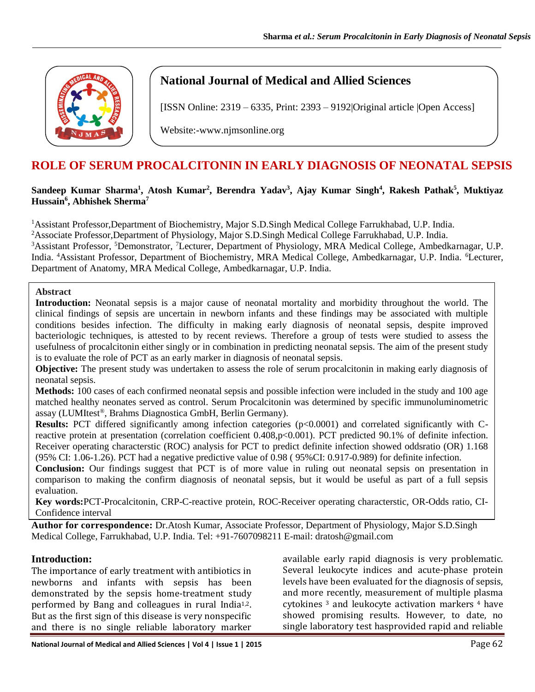

# **National Journal of Medical and Allied Sciences**

[ISSN Online: 2319 – 6335, Print: 2393 – 9192|Original article |Open Access]

Website:-www.njmsonline.org

# **ROLE OF SERUM PROCALCITONIN IN EARLY DIAGNOSIS OF NEONATAL SEPSIS**

#### **Sandeep Kumar Sharma<sup>1</sup> , Atosh Kumar<sup>2</sup> , Berendra Yadav<sup>3</sup> , Ajay Kumar Singh<sup>4</sup> , Rakesh Pathak<sup>5</sup> , Muktiyaz Hussain<sup>6</sup> , Abhishek Sherma<sup>7</sup>**

<sup>1</sup>Assistant Professor,Department of Biochemistry, Major S.D.Singh Medical College Farrukhabad, U.P. India. <sup>2</sup>Associate Professor,Department of Physiology, Major S.D.Singh Medical College Farrukhabad, U.P. India. <sup>3</sup>Assistant Professor, <sup>5</sup>Demonstrator, <sup>7</sup>Lecturer, Department of Physiology, MRA Medical College, Ambedkarnagar, U.P. India. <sup>4</sup>Assistant Professor, Department of Biochemistry, MRA Medical College, Ambedkarnagar, U.P. India. <sup>6</sup>Lecturer, Department of Anatomy, MRA Medical College, Ambedkarnagar, U.P. India.

#### **Abstract**

**Introduction:** Neonatal sepsis is a major cause of neonatal mortality and morbidity throughout the world. The clinical findings of sepsis are uncertain in newborn infants and these findings may be associated with multiple conditions besides infection. The difficulty in making early diagnosis of neonatal sepsis, despite improved bacteriologic techniques, is attested to by recent reviews. Therefore a group of tests were studied to assess the usefulness of procalcitonin either singly or in combination in predicting neonatal sepsis. The aim of the present study is to evaluate the role of PCT as an early marker in diagnosis of neonatal sepsis.

**Objective:** The present study was undertaken to assess the role of serum procalcitonin in making early diagnosis of neonatal sepsis.

**Methods:** 100 cases of each confirmed neonatal sepsis and possible infection were included in the study and 100 age matched healthy neonates served as control. Serum Procalcitonin was determined by specific immunoluminometric assay (LUMItest®, Brahms Diagnostica GmbH, Berlin Germany).

**Results:** PCT differed significantly among infection categories (p<0.0001) and correlated significantly with Creactive protein at presentation (correlation coefficient 0.408,p<0.001). PCT predicted 90.1% of definite infection. Receiver operating characterstic (ROC) analysis for PCT to predict definite infection showed oddsratio (OR) 1.168 (95% CI: 1.06-1.26). PCT had a negative predictive value of 0.98 ( 95%CI: 0.917-0.989) for definite infection.

**Conclusion:** Our findings suggest that PCT is of more value in ruling out neonatal sepsis on presentation in comparison to making the confirm diagnosis of neonatal sepsis, but it would be useful as part of a full sepsis evaluation.

**Key words:**PCT-Procalcitonin, CRP-C-reactive protein, ROC-Receiver operating characterstic, OR-Odds ratio, CI-Confidence interval

**Author for correspondence:** Dr.Atosh Kumar, Associate Professor, Department of Physiology, Major S.D.Singh Medical College, Farrukhabad, U.P. India. Tel: +91-7607098211 E-mail: dratosh@gmail.com

#### **Introduction:**

The importance of early treatment with antibiotics in newborns and infants with sepsis has been demonstrated by the sepsis home-treatment study performed by Bang and colleagues in rural India<sup>1,2</sup>. But as the first sign of this disease is very nonspecific and there is no single reliable laboratory marker

available early rapid diagnosis is very problematic. Several leukocyte indices and acute-phase protein levels have been evaluated for the diagnosis of sepsis, and more recently, measurement of multiple plasma cytokines<sup>3</sup> and leukocyte activation markers<sup>4</sup> have showed promising results. However, to date, no single laboratory test hasprovided rapid and reliable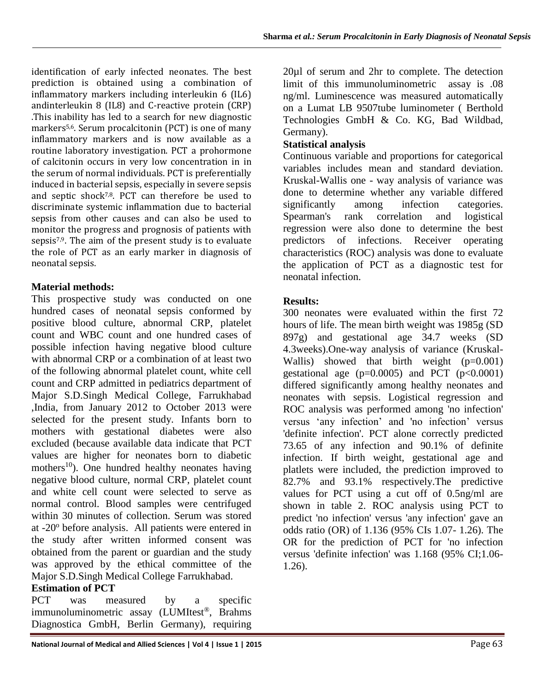identification of early infected neonates. The best prediction is obtained using a combination of inflammatory markers including interleukin 6 (IL6) andinterleukin 8 (IL8) and C-reactive protein (CRP) .This inability has led to a search for new diagnostic markers5,6. Serum procalcitonin (PCT) is one of many inflammatory markers and is now available as a routine laboratory investigation. PCT a prohormone of calcitonin occurs in very low concentration in in the serum of normal individuals. PCT is preferentially induced in bacterial sepsis, especially in severe sepsis and septic shock7,8. PCT can therefore be used to discriminate systemic inflammation due to bacterial sepsis from other causes and can also be used to monitor the progress and prognosis of patients with sepsis<sup>7,9</sup>. The aim of the present study is to evaluate the role of PCT as an early marker in diagnosis of neonatal sepsis.

### **Material methods:**

This prospective study was conducted on one hundred cases of neonatal sepsis conformed by positive blood culture, abnormal CRP, platelet count and WBC count and one hundred cases of possible infection having negative blood culture with abnormal CRP or a combination of at least two of the following abnormal platelet count, white cell count and CRP admitted in pediatrics department of Major S.D.Singh Medical College, Farrukhabad ,India, from January 2012 to October 2013 were selected for the present study. Infants born to mothers with gestational diabetes were also excluded (because available data indicate that PCT values are higher for neonates born to diabetic mothers<sup>10</sup>). One hundred healthy neonates having negative blood culture, normal CRP, platelet count and white cell count were selected to serve as normal control. Blood samples were centrifuged within 30 minutes of collection. Serum was stored at -20<sup>°</sup> before analysis. All patients were entered in the study after written informed consent was obtained from the parent or guardian and the study was approved by the ethical committee of the Major S.D.Singh Medical College Farrukhabad.

### **Estimation of PCT**

PCT was measured by a specific immunoluminometric assay (LUMItest®, Brahms Diagnostica GmbH, Berlin Germany), requiring

National Journal of Medical and Allied Sciences | Vol 4 | Issue 1 | 2015<br>
Page 63

20µl of serum and 2hr to complete. The detection limit of this immunoluminometric assay is .08 ng/ml. Luminescence was measured automatically on a Lumat LB 9507tube luminometer ( Berthold Technologies GmbH & Co. KG, Bad Wildbad, Germany).

## **Statistical analysis**

Continuous variable and proportions for categorical variables includes mean and standard deviation. Kruskal-Wallis one - way analysis of variance was done to determine whether any variable differed significantly among infection categories. Spearman's rank correlation and logistical regression were also done to determine the best predictors of infections. Receiver operating characteristics (ROC) analysis was done to evaluate the application of PCT as a diagnostic test for neonatal infection.

#### **Results:**

300 neonates were evaluated within the first 72 hours of life. The mean birth weight was 1985g (SD 897g) and gestational age 34.7 weeks (SD 4.3weeks).One-way analysis of variance (Kruskal-Wallis) showed that birth weight  $(p=0.001)$ gestational age  $(p=0.0005)$  and PCT  $(p<0.0001)$ differed significantly among healthy neonates and neonates with sepsis. Logistical regression and ROC analysis was performed among 'no infection' versus 'any infection' and 'no infection' versus 'definite infection'. PCT alone correctly predicted 73.65 of any infection and 90.1% of definite infection. If birth weight, gestational age and platlets were included, the prediction improved to 82.7% and 93.1% respectively.The predictive values for PCT using a cut off of 0.5ng/ml are shown in table 2. ROC analysis using PCT to predict 'no infection' versus 'any infection' gave an odds ratio (OR) of 1.136 (95% CIs 1.07- 1.26). The OR for the prediction of PCT for 'no infection versus 'definite infection' was 1.168 (95% CI;1.06- 1.26).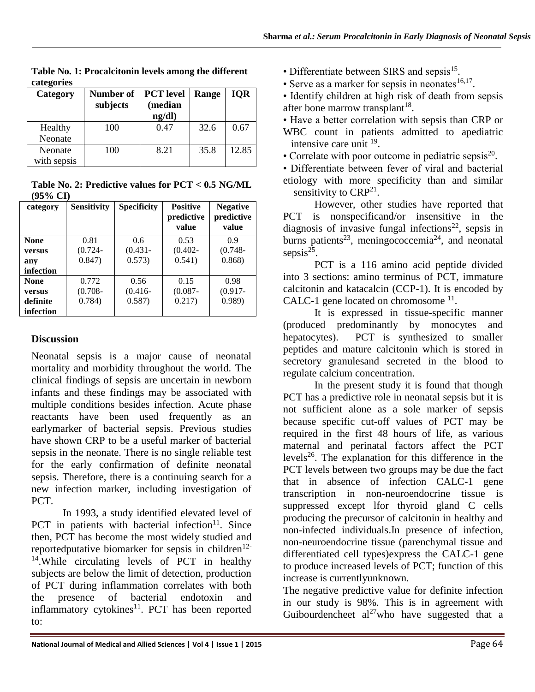| Category    | Number of<br>subjects | <b>PCT</b> level<br>(median<br>ng/dl) | Range | <b>IOR</b> |
|-------------|-----------------------|---------------------------------------|-------|------------|
| Healthy     | 100                   | 0.47                                  | 32.6  | 0.67       |
| Neonate     |                       |                                       |       |            |
| Neonate     | 100                   | 8.21                                  | 35.8  | 12.85      |
| with sepsis |                       |                                       |       |            |

**Table No. 1: Procalcitonin levels among the different categories**

**Table No. 2: Predictive values for PCT < 0.5 NG/ML (95% CI)**

| category    | <b>Sensitivity</b> | <b>Specificity</b> | <b>Positive</b><br>predictive<br>value | <b>Negative</b><br>predictive |
|-------------|--------------------|--------------------|----------------------------------------|-------------------------------|
|             |                    |                    |                                        | value                         |
| <b>None</b> | 0.81               | $0.6^{\circ}$      | 0.53                                   | 09                            |
| versus      | $(0.724 -$         | $(0.431 -$         | $(0.402 -$                             | $(0.748 -$                    |
| any         | 0.847)             | 0.573)             | 0.541)                                 | 0.868                         |
| infection   |                    |                    |                                        |                               |
| <b>None</b> | 0.772              | 0.56               | 0.15                                   | 0.98                          |
| versus      | $(0.708 -$         | $(0.416 -$         | $(0.087 -$                             | $(0.917 -$                    |
| definite    | 0.784)             | 0.587)             | 0.217)                                 | 0.989                         |
| infection   |                    |                    |                                        |                               |

### **Discussion**

Neonatal sepsis is a major cause of neonatal mortality and morbidity throughout the world. The clinical findings of sepsis are uncertain in newborn infants and these findings may be associated with multiple conditions besides infection. Acute phase reactants have been used frequently as an earlymarker of bacterial sepsis. Previous studies have shown CRP to be a useful marker of bacterial sepsis in the neonate. There is no single reliable test for the early confirmation of definite neonatal sepsis. Therefore, there is a continuing search for a new infection marker, including investigation of PCT.

In 1993, a study identified elevated level of PCT in patients with bacterial infection $11$ . Since then, PCT has become the most widely studied and reportedputative biomarker for sepsis in children<sup>12-</sup> <sup>14</sup>. While circulating levels of PCT in healthy subjects are below the limit of detection, production of PCT during inflammation correlates with both the presence of bacterial endotoxin and inflammatory cytokines $11$ . PCT has been reported to:

- Differentiate between SIRS and sepsis<sup>15</sup>.
- Serve as a marker for sepsis in neonates $16,17$ .
- Identify children at high risk of death from sepsis after bone marrow transplant<sup>18</sup>.
- Have a better correlation with sepsis than CRP or
- WBC count in patients admitted to apediatric intensive care unit <sup>19</sup>.
- Correlate with poor outcome in pediatric sepsis<sup>20</sup>.
- Differentiate between fever of viral and bacterial etiology with more specificity than and similar sensitivity to  $CRP^{21}$ .

However, other studies have reported that PCT is nonspecificand/or insensitive in the diagnosis of invasive fungal infections<sup>22</sup>, sepsis in burns patients<sup>23</sup>, meningococcemia<sup>24</sup>, and neonatal sepsis $^{25}$ .

PCT is a 116 amino acid peptide divided into 3 sections: amino terminus of PCT, immature calcitonin and katacalcin (CCP-1). It is encoded by CALC-1 gene located on chromosome  $11$ .

It is expressed in tissue-specific manner (produced predominantly by monocytes and hepatocytes). PCT is synthesized to smaller peptides and mature calcitonin which is stored in secretory granulesand secreted in the blood to regulate calcium concentration.

In the present study it is found that though PCT has a predictive role in neonatal sepsis but it is not sufficient alone as a sole marker of sepsis because specific cut-off values of PCT may be required in the first 48 hours of life, as various maternal and perinatal factors affect the PCT levels<sup>26</sup>. The explanation for this difference in the PCT levels between two groups may be due the fact that in absence of infection CALC-1 gene transcription in non-neuroendocrine tissue is suppressed except lfor thyroid gland C cells producing the precursor of calcitonin in healthy and non-infected individuals.In presence of infection, non-neuroendocrine tissue (parenchymal tissue and differentiated cell types)express the CALC-1 gene to produce increased levels of PCT; function of this increase is currentlyunknown.

The negative predictive value for definite infection in our study is 98%. This is in agreement with Guibourdencheet  $al^{27}$ who have suggested that a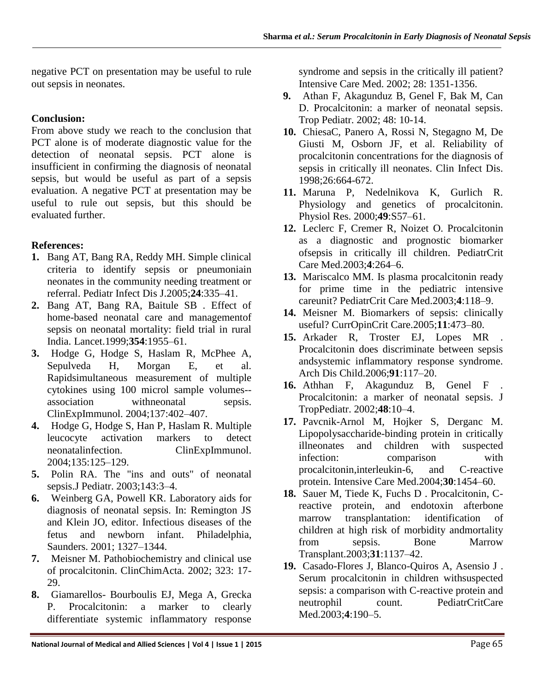negative PCT on presentation may be useful to rule out sepsis in neonates.

#### **Conclusion:**

From above study we reach to the conclusion that PCT alone is of moderate diagnostic value for the detection of neonatal sepsis. PCT alone is insufficient in confirming the diagnosis of neonatal sepsis, but would be useful as part of a sepsis evaluation. A negative PCT at presentation may be useful to rule out sepsis, but this should be evaluated further.

### **References:**

- **1.** Bang AT, Bang RA, Reddy MH. Simple clinical criteria to identify sepsis or pneumoniain neonates in the community needing treatment or referral. Pediatr Infect Dis J.2005;**24**:335–41.
- **2.** Bang AT, Bang RA, Baitule SB . Effect of home-based neonatal care and managementof sepsis on neonatal mortality: field trial in rural India. Lancet.1999;**354**:1955–61.
- **3.** Hodge G, Hodge S, Haslam R, McPhee A, Sepulveda H, Morgan E, et al. Rapidsimultaneous measurement of multiple cytokines using 100 microl sample volumes- association withneonatal sepsis. ClinExpImmunol. 2004;137:402–407.
- **4.** Hodge G, Hodge S, Han P, Haslam R. Multiple leucocyte activation markers to detect neonatalinfection. ClinExpImmunol. 2004;135:125–129.
- **5.** Polin RA. The "ins and outs" of neonatal sepsis.J Pediatr. 2003;143:3–4.
- **6.** Weinberg GA, Powell KR. Laboratory aids for diagnosis of neonatal sepsis. In: Remington JS and Klein JO, editor. Infectious diseases of the fetus and newborn infant. Philadelphia, Saunders. 2001; 1327–1344.
- **7.** Meisner M. Pathobiochemistry and clinical use of procalcitonin. ClinChimActa. 2002; 323: 17- 29.
- **8.** Giamarellos- Bourboulis EJ, Mega A, Grecka P. Procalcitonin: a marker to clearly differentiate systemic inflammatory response

syndrome and sepsis in the critically ill patient? Intensive Care Med. 2002; 28: 1351-1356.

- **9.** Athan F, Akagunduz B, Genel F, Bak M, Can D. Procalcitonin: a marker of neonatal sepsis. Trop Pediatr. 2002; 48: 10-14.
- **10.** ChiesaC, Panero A, Rossi N, Stegagno M, De Giusti M, Osborn JF, et al. Reliability of procalcitonin concentrations for the diagnosis of sepsis in critically ill neonates. Clin Infect Dis. 1998;26:664-672.
- **11.** Maruna P, Nedelnikova K, Gurlich R. Physiology and genetics of procalcitonin. Physiol Res. 2000;**49**:S57–61.
- **12.** Leclerc F, Cremer R, Noizet O. Procalcitonin as a diagnostic and prognostic biomarker ofsepsis in critically ill children. PediatrCrit Care Med.2003;**4**:264–6.
- **13.** Mariscalco MM. Is plasma procalcitonin ready for prime time in the pediatric intensive careunit? PediatrCrit Care Med.2003;**4**:118–9.
- **14.** Meisner M. Biomarkers of sepsis: clinically useful? CurrOpinCrit Care.2005;**11**:473–80.
- **15.** Arkader R, Troster EJ, Lopes MR . Procalcitonin does discriminate between sepsis andsystemic inflammatory response syndrome. Arch Dis Child.2006;**91**:117–20.
- **16.** Athhan F, Akagunduz B, Genel F . Procalcitonin: a marker of neonatal sepsis. J TropPediatr. 2002;**48**:10–4.
- **17.** Pavcnik-Arnol M, Hojker S, Derganc M. Lipopolysaccharide-binding protein in critically illneonates and children with suspected infection: comparison with procalcitonin,interleukin-6, and C-reactive protein. Intensive Care Med.2004;**30**:1454–60.
- **18.** Sauer M, Tiede K, Fuchs D . Procalcitonin, Creactive protein, and endotoxin afterbone marrow transplantation: identification of children at high risk of morbidity andmortality from sepsis. Bone Marrow Transplant.2003;**31**:1137–42.
- **19.** Casado-Flores J, Blanco-Quiros A, Asensio J . Serum procalcitonin in children withsuspected sepsis: a comparison with C-reactive protein and neutrophil count. PediatrCritCare Med.2003;**4**:190–5.